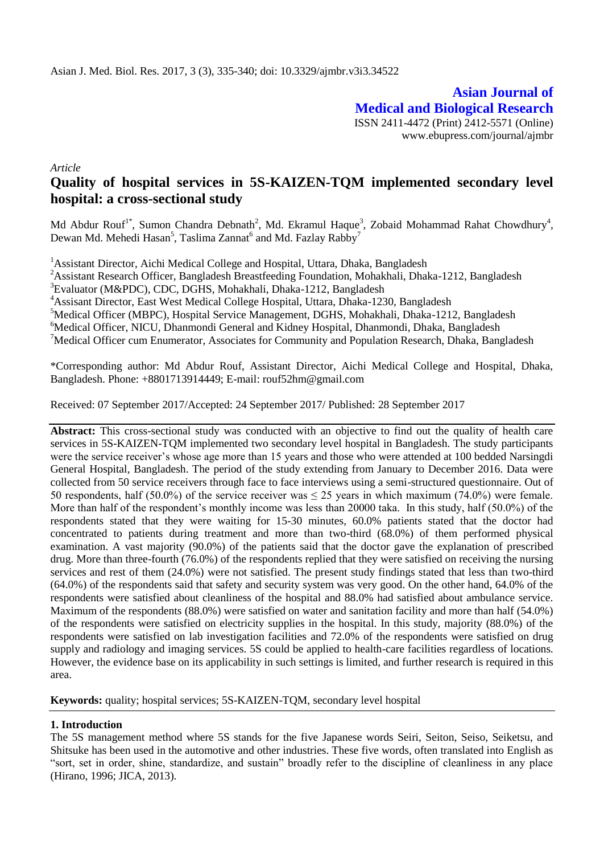**Asian Journal of Medical and Biological Research** ISSN 2411-4472 (Print) 2412-5571 (Online) www.ebupress.com/journal/ajmbr

*Article*

# **Quality of hospital services in 5S-KAIZEN-TQM implemented secondary level hospital: a cross-sectional study**

Md Abdur Rouf<sup>1\*</sup>, Sumon Chandra Debnath<sup>2</sup>, Md. Ekramul Haque<sup>3</sup>, Zobaid Mohammad Rahat Chowdhury<sup>4</sup>, Dewan Md. Mehedi Hasan<sup>5</sup>, Taslima Zannat<sup>6</sup> and Md. Fazlay Rabby<sup>7</sup>

<sup>1</sup> Assistant Director, Aichi Medical College and Hospital, Uttara, Dhaka, Bangladesh

<sup>2</sup> Assistant Research Officer, Bangladesh Breastfeeding Foundation, Mohakhali, Dhaka-1212, Bangladesh

<sup>3</sup>Evaluator (M&PDC), CDC, DGHS, Mohakhali, Dhaka-1212, Bangladesh

<sup>4</sup>Assisant Director, East West Medical College Hospital, Uttara, Dhaka-1230, Bangladesh

<sup>5</sup>Medical Officer (MBPC), Hospital Service Management, DGHS, Mohakhali, Dhaka-1212, Bangladesh

<sup>6</sup>Medical Officer, NICU, Dhanmondi General and Kidney Hospital, Dhanmondi, Dhaka, Bangladesh

 $^7$ Medical Officer cum Enumerator, Associates for Community and Population Research, Dhaka, Bangladesh

\*Corresponding author: Md Abdur Rouf, Assistant Director, Aichi Medical College and Hospital, Dhaka, Bangladesh. Phone: +8801713914449; E-mail: rouf52hm@gmail.com

Received: 07 September 2017/Accepted: 24 September 2017/ Published: 28 September 2017

Abstract: This cross-sectional study was conducted with an objective to find out the quality of health care services in 5S-KAIZEN-TQM implemented two secondary level hospital in Bangladesh. The study participants were the service receiver's whose age more than 15 years and those who were attended at 100 bedded Narsingdi General Hospital, Bangladesh. The period of the study extending from January to December 2016. Data were collected from 50 service receivers through face to face interviews using a semi-structured questionnaire. Out of 50 respondents, half (50.0%) of the service receiver was  $\leq$  25 years in which maximum (74.0%) were female. More than half of the respondent's monthly income was less than 20000 taka. In this study, half (50.0%) of the respondents stated that they were waiting for 15-30 minutes, 60.0% patients stated that the doctor had concentrated to patients during treatment and more than two-third (68.0%) of them performed physical examination. A vast majority (90.0%) of the patients said that the doctor gave the explanation of prescribed drug. More than three-fourth (76.0%) of the respondents replied that they were satisfied on receiving the nursing services and rest of them (24.0%) were not satisfied. The present study findings stated that less than two-third (64.0%) of the respondents said that safety and security system was very good. On the other hand, 64.0% of the respondents were satisfied about cleanliness of the hospital and 88.0% had satisfied about ambulance service. Maximum of the respondents (88.0%) were satisfied on water and sanitation facility and more than half (54.0%) of the respondents were satisfied on electricity supplies in the hospital. In this study, majority (88.0%) of the respondents were satisfied on lab investigation facilities and 72.0% of the respondents were satisfied on drug supply and radiology and imaging services. 5S could be applied to health-care facilities regardless of locations. However, the evidence base on its applicability in such settings is limited, and further research is required in this area.

**Keywords:** quality; hospital services; 5S-KAIZEN-TQM, secondary level hospital

# **1. Introduction**

The 5S management method where 5S stands for the five Japanese words Seiri, Seiton, Seiso, Seiketsu, and Shitsuke has been used in the automotive and other industries. These five words, often translated into English as "sort, set in order, shine, standardize, and sustain" broadly refer to the discipline of cleanliness in any place (Hirano, 1996; JICA, 2013).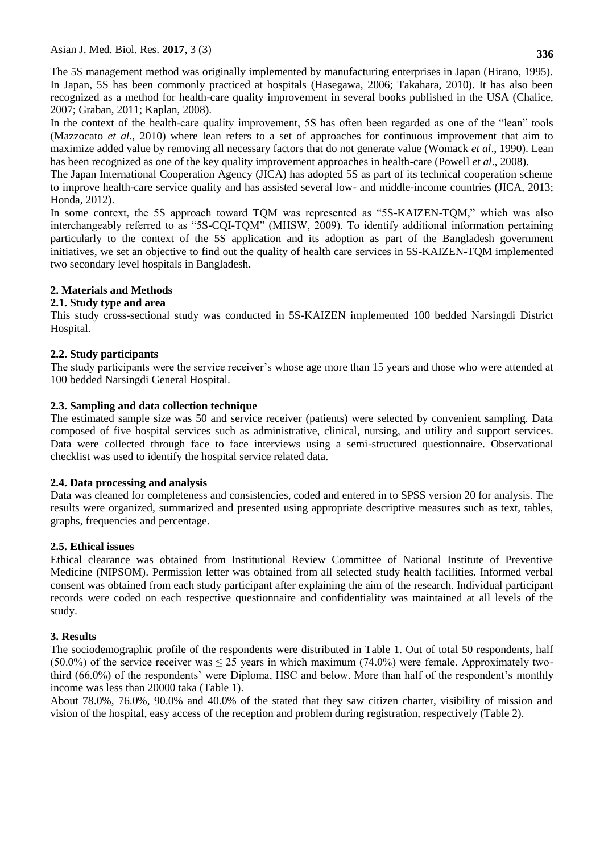The 5S management method was originally implemented by manufacturing enterprises in Japan (Hirano, 1995). In Japan, 5S has been commonly practiced at hospitals (Hasegawa, 2006; Takahara, 2010). It has also been recognized as a method for health-care quality improvement in several books published in the USA (Chalice, 2007; Graban, 2011; Kaplan, 2008).

In the context of the health-care quality improvement, 5S has often been regarded as one of the "lean" tools (Mazzocato *et al*., 2010) where lean refers to a set of approaches for continuous improvement that aim to maximize added value by removing all necessary factors that do not generate value (Womack *et al*., 1990). Lean has been recognized as one of the key quality improvement approaches in health-care (Powell *et al*., 2008).

The Japan International Cooperation Agency (JICA) has adopted 5S as part of its technical cooperation scheme to improve health-care service quality and has assisted several low- and middle-income countries (JICA, 2013; Honda, 2012).

In some context, the 5S approach toward TQM was represented as "5S-KAIZEN-TQM," which was also interchangeably referred to as "5S-CQI-TQM" (MHSW, 2009). To identify additional information pertaining particularly to the context of the 5S application and its adoption as part of the Bangladesh government initiatives, we set an objective to find out the quality of health care services in 5S-KAIZEN-TQM implemented two secondary level hospitals in Bangladesh.

# **2. Materials and Methods**

## **2.1. Study type and area**

This study cross-sectional study was conducted in 5S-KAIZEN implemented 100 bedded Narsingdi District Hospital.

## **2.2. Study participants**

The study participants were the service receiver's whose age more than 15 years and those who were attended at 100 bedded Narsingdi General Hospital.

## **2.3. Sampling and data collection technique**

The estimated sample size was 50 and service receiver (patients) were selected by convenient sampling. Data composed of five hospital services such as administrative, clinical, nursing, and utility and support services. Data were collected through face to face interviews using a semi-structured questionnaire. Observational checklist was used to identify the hospital service related data.

#### **2.4. Data processing and analysis**

Data was cleaned for completeness and consistencies, coded and entered in to SPSS version 20 for analysis. The results were organized, summarized and presented using appropriate descriptive measures such as text, tables, graphs, frequencies and percentage.

#### **2.5. Ethical issues**

Ethical clearance was obtained from Institutional Review Committee of National Institute of Preventive Medicine (NIPSOM). Permission letter was obtained from all selected study health facilities. Informed verbal consent was obtained from each study participant after explaining the aim of the research. Individual participant records were coded on each respective questionnaire and confidentiality was maintained at all levels of the study.

#### **3. Results**

The sociodemographic profile of the respondents were distributed in Table 1. Out of total 50 respondents, half (50.0%) of the service receiver was  $\leq$  25 years in which maximum (74.0%) were female. Approximately twothird (66.0%) of the respondents' were Diploma, HSC and below. More than half of the respondent's monthly income was less than 20000 taka (Table 1).

About 78.0%, 76.0%, 90.0% and 40.0% of the stated that they saw citizen charter, visibility of mission and vision of the hospital, easy access of the reception and problem during registration, respectively (Table 2).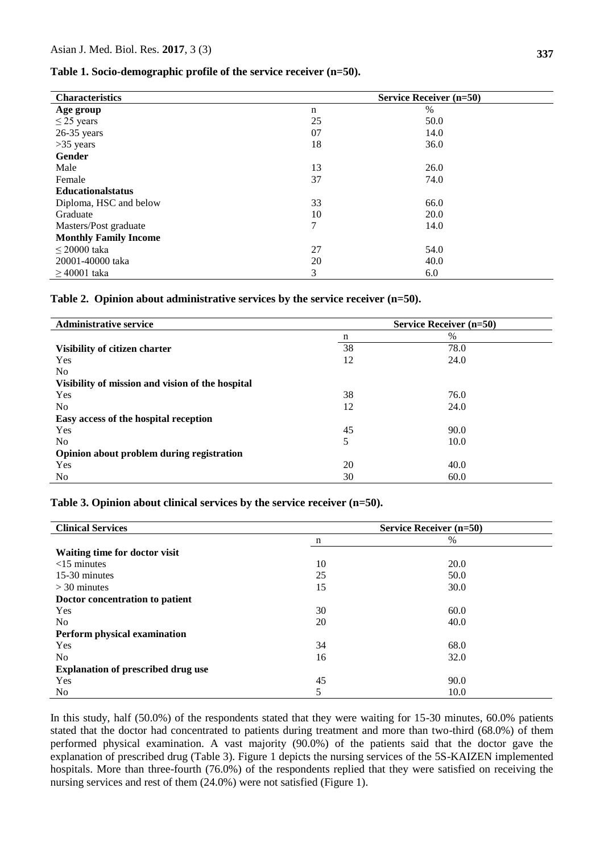#### **Table 1. Socio-demographic profile of the service receiver (n=50).**

| <b>Characteristics</b>       | <b>Service Receiver (n=50)</b> |      |  |  |
|------------------------------|--------------------------------|------|--|--|
| Age group                    | n                              | $\%$ |  |  |
| $\leq$ 25 years              | 25                             | 50.0 |  |  |
| $26-35$ years                | 07                             | 14.0 |  |  |
| $>35$ years                  | 18                             | 36.0 |  |  |
| Gender                       |                                |      |  |  |
| Male                         | 13                             | 26.0 |  |  |
| Female                       | 37                             | 74.0 |  |  |
| <b>Educationalstatus</b>     |                                |      |  |  |
| Diploma, HSC and below       | 33                             | 66.0 |  |  |
| Graduate                     | 10                             | 20.0 |  |  |
| Masters/Post graduate        | 7                              | 14.0 |  |  |
| <b>Monthly Family Income</b> |                                |      |  |  |
| $\leq$ 20000 taka            | 27                             | 54.0 |  |  |
| 20001-40000 taka             | 20                             | 40.0 |  |  |
| $>40001$ taka                | 3                              | 6.0  |  |  |

#### **Table 2. Opinion about administrative services by the service receiver (n=50).**

| <b>Administrative service</b>                    | <b>Service Receiver (n=50)</b> |      |  |  |  |
|--------------------------------------------------|--------------------------------|------|--|--|--|
|                                                  | n                              | $\%$ |  |  |  |
| Visibility of citizen charter                    | 38                             | 78.0 |  |  |  |
| <b>Yes</b>                                       | 12                             | 24.0 |  |  |  |
| N <sub>0</sub>                                   |                                |      |  |  |  |
| Visibility of mission and vision of the hospital |                                |      |  |  |  |
| <b>Yes</b>                                       | 38                             | 76.0 |  |  |  |
| N <sub>0</sub>                                   | 12                             | 24.0 |  |  |  |
| Easy access of the hospital reception            |                                |      |  |  |  |
| Yes                                              | 45                             | 90.0 |  |  |  |
| N <sub>0</sub>                                   | 5                              | 10.0 |  |  |  |
| Opinion about problem during registration        |                                |      |  |  |  |
| Yes                                              | 20                             | 40.0 |  |  |  |
| No.                                              | 30                             | 60.0 |  |  |  |

#### **Table 3. Opinion about clinical services by the service receiver (n=50).**

| <b>Clinical Services</b>                  | <b>Service Receiver (n=50)</b> |      |  |  |  |
|-------------------------------------------|--------------------------------|------|--|--|--|
|                                           | $\mathbf n$                    | %    |  |  |  |
| Waiting time for doctor visit             |                                |      |  |  |  |
| $<$ 15 minutes                            | 10                             | 20.0 |  |  |  |
| 15-30 minutes                             | 25                             | 50.0 |  |  |  |
| $>$ 30 minutes                            | 15                             | 30.0 |  |  |  |
| Doctor concentration to patient           |                                |      |  |  |  |
| Yes                                       | 30                             | 60.0 |  |  |  |
| N <sub>0</sub>                            | 20                             | 40.0 |  |  |  |
| Perform physical examination              |                                |      |  |  |  |
| <b>Yes</b>                                | 34                             | 68.0 |  |  |  |
| No.                                       | 16                             | 32.0 |  |  |  |
| <b>Explanation of prescribed drug use</b> |                                |      |  |  |  |
| Yes                                       | 45                             | 90.0 |  |  |  |
| <b>No</b>                                 | 5                              | 10.0 |  |  |  |

In this study, half (50.0%) of the respondents stated that they were waiting for 15-30 minutes, 60.0% patients stated that the doctor had concentrated to patients during treatment and more than two-third (68.0%) of them performed physical examination. A vast majority (90.0%) of the patients said that the doctor gave the explanation of prescribed drug (Table 3). Figure 1 depicts the nursing services of the 5S-KAIZEN implemented hospitals. More than three-fourth (76.0%) of the respondents replied that they were satisfied on receiving the nursing services and rest of them (24.0%) were not satisfied (Figure 1).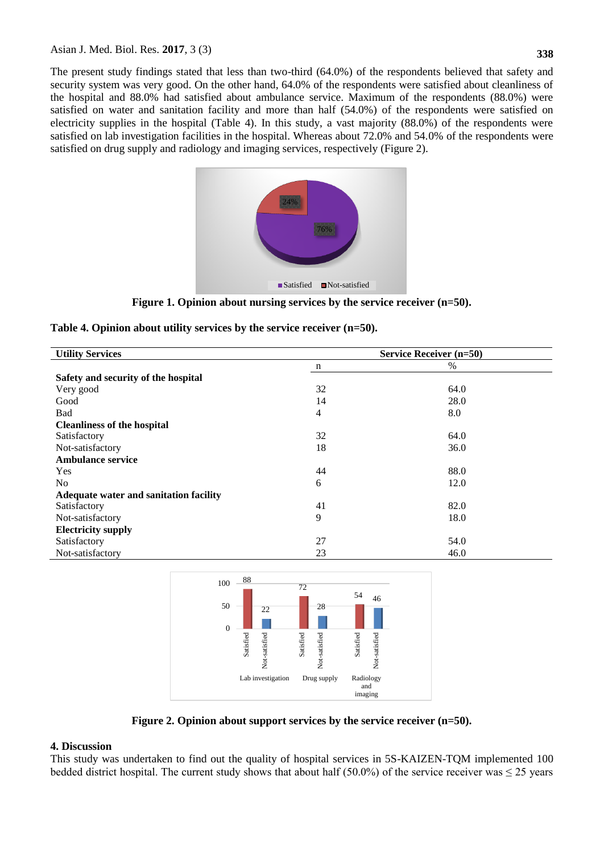The present study findings stated that less than two-third (64.0%) of the respondents believed that safety and security system was very good. On the other hand, 64.0% of the respondents were satisfied about cleanliness of the hospital and 88.0% had satisfied about ambulance service. Maximum of the respondents (88.0%) were satisfied on water and sanitation facility and more than half (54.0%) of the respondents were satisfied on electricity supplies in the hospital (Table 4). In this study, a vast majority (88.0%) of the respondents were satisfied on lab investigation facilities in the hospital. Whereas about 72.0% and 54.0% of the respondents were satisfied on drug supply and radiology and imaging services, respectively (Figure 2).



**Figure 1. Opinion about nursing services by the service receiver (n=50).**

| Table 4. Opinion about utility services by the service receiver $(n=50)$ . |  |  |  |  |  |  |  |  |  |  |
|----------------------------------------------------------------------------|--|--|--|--|--|--|--|--|--|--|
|----------------------------------------------------------------------------|--|--|--|--|--|--|--|--|--|--|

| <b>Utility Services</b>                | <b>Service Receiver (n=50)</b> |      |  |  |  |
|----------------------------------------|--------------------------------|------|--|--|--|
|                                        | n                              | $\%$ |  |  |  |
| Safety and security of the hospital    |                                |      |  |  |  |
| Very good                              | 32                             | 64.0 |  |  |  |
| Good                                   | 14                             | 28.0 |  |  |  |
| Bad                                    | $\overline{4}$                 | 8.0  |  |  |  |
| <b>Cleanliness of the hospital</b>     |                                |      |  |  |  |
| Satisfactory                           | 32                             | 64.0 |  |  |  |
| Not-satisfactory                       | 18                             | 36.0 |  |  |  |
| <b>Ambulance service</b>               |                                |      |  |  |  |
| Yes                                    | 44                             | 88.0 |  |  |  |
| N <sub>0</sub>                         | 6                              | 12.0 |  |  |  |
| Adequate water and sanitation facility |                                |      |  |  |  |
| Satisfactory                           | 41                             | 82.0 |  |  |  |
| Not-satisfactory                       | 9                              | 18.0 |  |  |  |
| <b>Electricity supply</b>              |                                |      |  |  |  |
| Satisfactory                           | 27                             | 54.0 |  |  |  |
| Not-satisfactory                       | 23                             | 46.0 |  |  |  |



**Figure 2. Opinion about support services by the service receiver (n=50).**

# **4. Discussion**

This study was undertaken to find out the quality of hospital services in 5S-KAIZEN-TQM implemented 100 bedded district hospital. The current study shows that about half (50.0%) of the service receiver was  $\leq$  25 years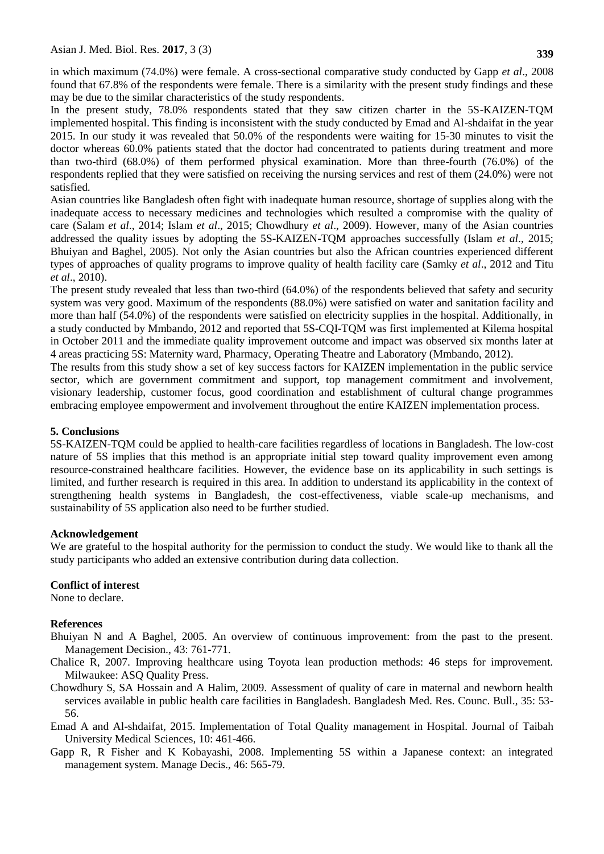In the present study, 78.0% respondents stated that they saw citizen charter in the 5S-KAIZEN-TQM implemented hospital. This finding is inconsistent with the study conducted by Emad and Al-shdaifat in the year 2015. In our study it was revealed that 50.0% of the respondents were waiting for 15-30 minutes to visit the doctor whereas 60.0% patients stated that the doctor had concentrated to patients during treatment and more than two-third (68.0%) of them performed physical examination. More than three-fourth (76.0%) of the respondents replied that they were satisfied on receiving the nursing services and rest of them (24.0%) were not satisfied.

Asian countries like Bangladesh often fight with inadequate human resource, shortage of supplies along with the inadequate access to necessary medicines and technologies which resulted a compromise with the quality of care (Salam *et al*., 2014; Islam *et al*., 2015; Chowdhury *et al*., 2009). However, many of the Asian countries addressed the quality issues by adopting the 5S-KAIZEN-TQM approaches successfully (Islam *et al*., 2015; Bhuiyan and Baghel, 2005). Not only the Asian countries but also the African countries experienced different types of approaches of quality programs to improve quality of health facility care (Samky *et al*., 2012 and Titu *et al*., 2010).

The present study revealed that less than two-third (64.0%) of the respondents believed that safety and security system was very good. Maximum of the respondents (88.0%) were satisfied on water and sanitation facility and more than half (54.0%) of the respondents were satisfied on electricity supplies in the hospital. Additionally, in a study conducted by Mmbando, 2012 and reported that 5S-CQI-TQM was first implemented at Kilema hospital in October 2011 and the immediate quality improvement outcome and impact was observed six months later at 4 areas practicing 5S: Maternity ward, Pharmacy, Operating Theatre and Laboratory (Mmbando, 2012).

The results from this study show a set of key success factors for KAIZEN implementation in the public service sector, which are government commitment and support, top management commitment and involvement, visionary leadership, customer focus, good coordination and establishment of cultural change programmes embracing employee empowerment and involvement throughout the entire KAIZEN implementation process.

# **5. Conclusions**

5S-KAIZEN-TQM could be applied to health-care facilities regardless of locations in Bangladesh. The low-cost nature of 5S implies that this method is an appropriate initial step toward quality improvement even among resource-constrained healthcare facilities. However, the evidence base on its applicability in such settings is limited, and further research is required in this area. In addition to understand its applicability in the context of strengthening health systems in Bangladesh, the cost-effectiveness, viable scale-up mechanisms, and sustainability of 5S application also need to be further studied.

# **Acknowledgement**

We are grateful to the hospital authority for the permission to conduct the study. We would like to thank all the study participants who added an extensive contribution during data collection.

#### **Conflict of interest**

None to declare.

# **References**

- Bhuiyan N and A Baghel, 2005. An overview of continuous improvement: from the past to the present. Management Decision., 43: 761-771.
- Chalice R, 2007. Improving healthcare using Toyota lean production methods: 46 steps for improvement. Milwaukee: ASQ Quality Press.
- Chowdhury S, SA Hossain and A Halim, 2009. Assessment of quality of care in maternal and newborn health services available in public health care facilities in Bangladesh. Bangladesh Med. Res. Counc. Bull., 35: 53- 56.
- Emad A and Al-shdaifat, 2015. Implementation of Total Quality management in Hospital. Journal of Taibah University Medical Sciences*,* 10: 461-466.
- Gapp R, R Fisher and K Kobayashi, 2008. Implementing 5S within a Japanese context: an integrated management system. Manage Decis., 46: 565-79.